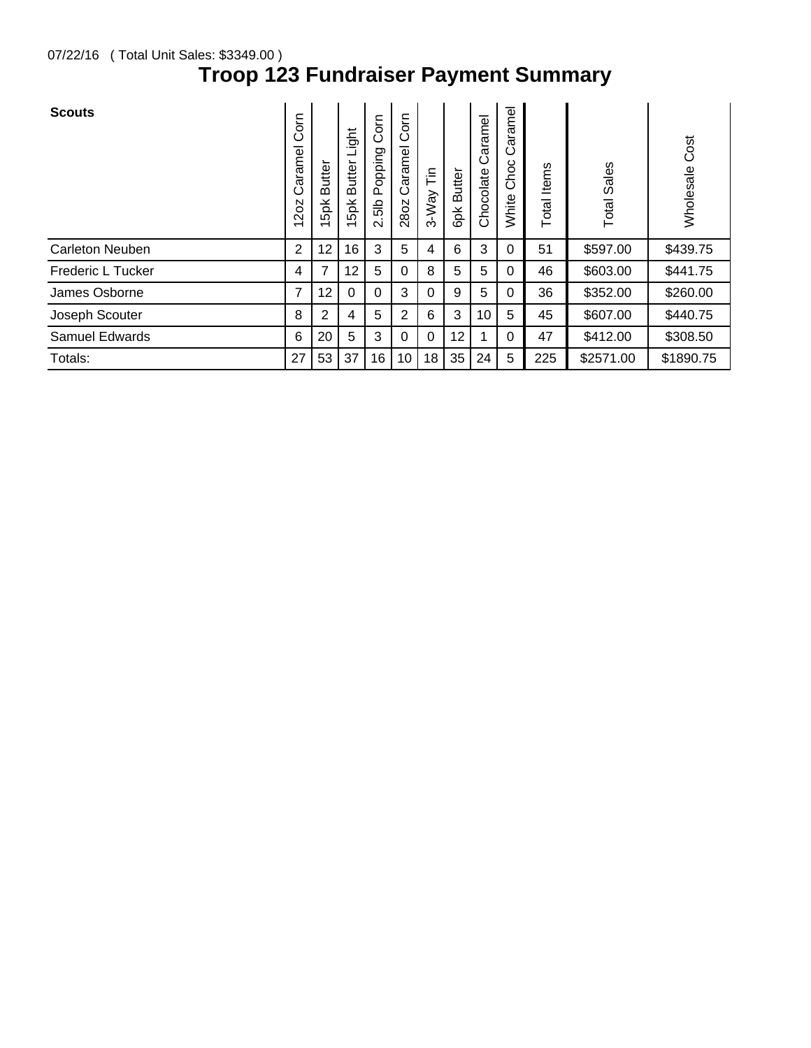## **Troop 123 Fundraiser Payment Summary**

| <b>Scouts</b>          | Corn<br>Caramel<br>202<br>$\overline{\phantom{0}}$ | <b>Butter</b><br>15pk | ight<br>utter<br>മ<br>5p <sub>K</sub><br>$\overline{ }$ | Corn<br>Popping<br>2.5 <sub>1b</sub> | Corn<br>Caramel<br>2802 | $\tilde{F}$<br>3-Way | <b>Butter</b><br>6pK | Caramel<br>Chocolate | Caramel<br>ပ<br>ра<br>С<br>White | Total Items | Sales<br>Total | Wholesale Cost |
|------------------------|----------------------------------------------------|-----------------------|---------------------------------------------------------|--------------------------------------|-------------------------|----------------------|----------------------|----------------------|----------------------------------|-------------|----------------|----------------|
| <b>Carleton Neuben</b> | 2                                                  | 12                    | 16                                                      | 3                                    | 5                       | 4                    | 6                    | 3                    | 0                                | 51          | \$597.00       | \$439.75       |
| Frederic L Tucker      | 4                                                  | $\overline{7}$        | 12                                                      | 5                                    | $\Omega$                | 8                    | 5                    | 5                    | 0                                | 46          | \$603.00       | \$441.75       |
| James Osborne          | 7                                                  | 12                    | $\Omega$                                                | $\Omega$                             | 3                       | $\Omega$             | 9                    | 5                    | 0                                | 36          | \$352.00       | \$260.00       |
| Joseph Scouter         | 8                                                  | $\overline{2}$        | 4                                                       | 5                                    | $\overline{2}$          | 6                    | 3                    | 10                   | 5                                | 45          | \$607.00       | \$440.75       |
| Samuel Edwards         | 6                                                  | 20                    | 5                                                       | 3                                    | $\Omega$                | $\Omega$             | 12                   |                      | 0                                | 47          | \$412.00       | \$308.50       |
| Totals:                | 27                                                 | 53                    | 37                                                      | 16                                   | 10                      | 18                   | 35                   | 24                   | 5                                | 225         | \$2571.00      | \$1890.75      |